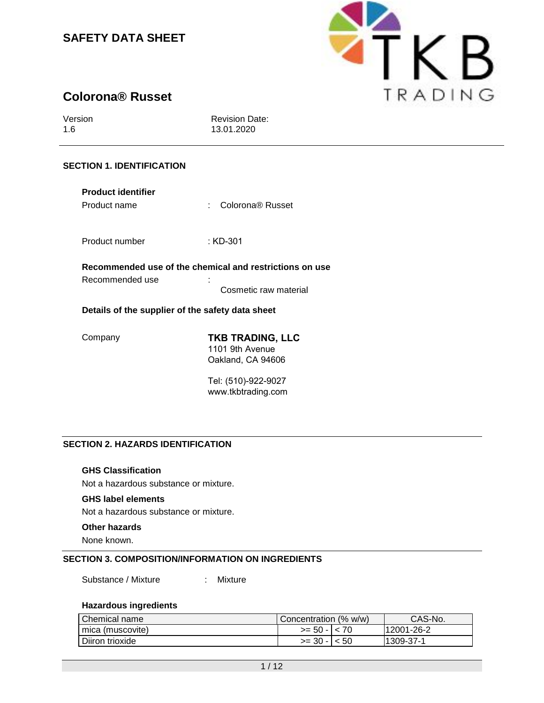

# **Colorona® Russet**

Version 1.6

Revision Date: 13.01.2020

## **SECTION 1. IDENTIFICATION**

| <b>Product identifier</b><br>Product name        | Colorona <sup>®</sup> Russet<br>٠                                                |  |  |  |
|--------------------------------------------------|----------------------------------------------------------------------------------|--|--|--|
| Product number                                   | : KD-301                                                                         |  |  |  |
| Recommended use                                  | Recommended use of the chemical and restrictions on use<br>Cosmetic raw material |  |  |  |
| Details of the supplier of the safety data sheet |                                                                                  |  |  |  |
| ∴omnanv                                          | TKR TRANING I I C                                                                |  |  |  |

Company **TKB TRADING, LLC** 1101 9th Avenue Oakland, CA 94606

> Tel: (510)-922-9027 www.tkbtrading.com

## **SECTION 2. HAZARDS IDENTIFICATION**

## **GHS Classification**

Not a hazardous substance or mixture.

#### **GHS label elements**

Not a hazardous substance or mixture.

#### **Other hazards**

None known.

## **SECTION 3. COMPOSITION/INFORMATION ON INGREDIENTS**

Substance / Mixture : Mixture

### **Hazardous ingredients**

| <b>Chemical name</b> | Concentration (% w/w) | CAS-No.    |
|----------------------|-----------------------|------------|
| l mica (muscovite)   | $>= 50 - 1 < 70$      | 12001-26-2 |
| Diiron trioxide      | $>=$ 30 - $ $ < 50    | 1309-37-1  |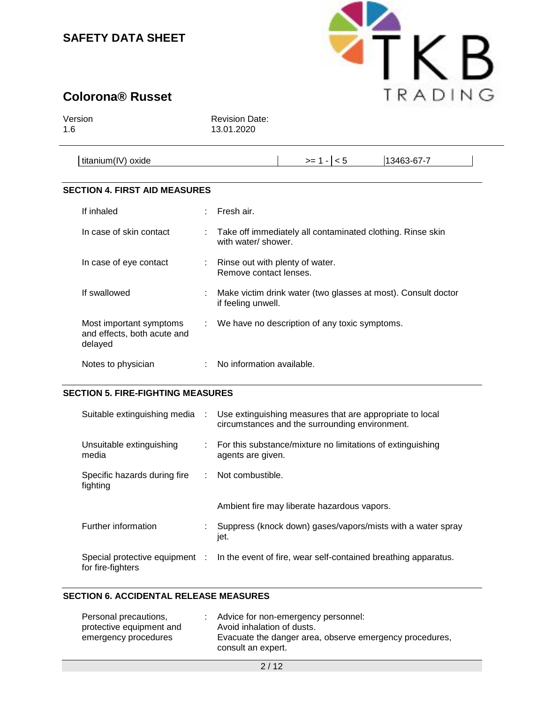

# **Colorona® Russet**

Version 1.6

Revision Date: 13.01.2020

| .                         |    | 3-67<br>134 <sup>2</sup> |  |
|---------------------------|----|--------------------------|--|
| ⊥titanium(I<br>oxide<br>v | __ |                          |  |

## **SECTION 4. FIRST AID MEASURES**

| If inhaled                                                        |   | Fresh air.                                                                          |
|-------------------------------------------------------------------|---|-------------------------------------------------------------------------------------|
| In case of skin contact                                           |   | : Take off immediately all contaminated clothing. Rinse skin<br>with water/ shower. |
| In case of eye contact                                            |   | : Rinse out with plenty of water.<br>Remove contact lenses.                         |
| If swallowed                                                      | ÷ | Make victim drink water (two glasses at most). Consult doctor<br>if feeling unwell. |
| Most important symptoms<br>and effects, both acute and<br>delayed |   | : We have no description of any toxic symptoms.                                     |
| Notes to physician                                                |   | No information available.                                                           |

#### **SECTION 5. FIRE-FIGHTING MEASURES**

| Suitable extinguishing media                        | $\sim 10^{-1}$ | Use extinguishing measures that are appropriate to local<br>circumstances and the surrounding environment. |
|-----------------------------------------------------|----------------|------------------------------------------------------------------------------------------------------------|
| Unsuitable extinguishing<br>media                   | ÷.             | For this substance/mixture no limitations of extinguishing<br>agents are given.                            |
| Specific hazards during fire<br>fighting            |                | Not combustible.                                                                                           |
|                                                     |                | Ambient fire may liberate hazardous vapors.                                                                |
| Further information                                 |                | Suppress (knock down) gases/vapors/mists with a water spray<br>jet.                                        |
| Special protective equipment :<br>for fire-fighters |                | In the event of fire, wear self-contained breathing apparatus.                                             |

#### **SECTION 6. ACCIDENTAL RELEASE MEASURES**

| Personal precautions,    | : Advice for non-emergency personnel:                                         |
|--------------------------|-------------------------------------------------------------------------------|
| protective equipment and | Avoid inhalation of dusts.                                                    |
| emergency procedures     | Evacuate the danger area, observe emergency procedures,<br>consult an expert. |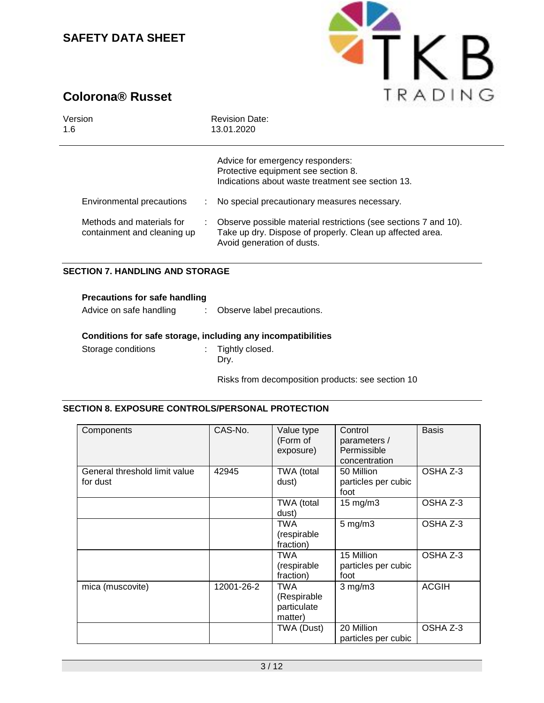

# **Colorona® Russet**

| Version                                                                               | <b>Revision Date:</b>                                                                                                                                                                                                                                                                                                                            |
|---------------------------------------------------------------------------------------|--------------------------------------------------------------------------------------------------------------------------------------------------------------------------------------------------------------------------------------------------------------------------------------------------------------------------------------------------|
| 1.6                                                                                   | 13.01.2020                                                                                                                                                                                                                                                                                                                                       |
| Environmental precautions<br>Methods and materials for<br>containment and cleaning up | Advice for emergency responders:<br>Protective equipment see section 8.<br>Indications about waste treatment see section 13.<br>No special precautionary measures necessary.<br>Observe possible material restrictions (see sections 7 and 10).<br>÷.<br>Take up dry. Dispose of properly. Clean up affected area.<br>Avoid generation of dusts. |

## **SECTION 7. HANDLING AND STORAGE**

| <b>Precautions for safe handling</b> |  |  |  |
|--------------------------------------|--|--|--|
|                                      |  |  |  |

Advice on safe handling : Observe label precautions.

### **Conditions for safe storage, including any incompatibilities**

Storage conditions : Tightly closed. Dry.

Risks from decomposition products: see section 10

## **SECTION 8. EXPOSURE CONTROLS/PERSONAL PROTECTION**

| Components                                | CAS-No.    | Value type<br>(Form of<br>exposure)                 | Control<br>parameters /<br>Permissible<br>concentration | <b>Basis</b> |
|-------------------------------------------|------------|-----------------------------------------------------|---------------------------------------------------------|--------------|
| General threshold limit value<br>for dust | 42945      | TWA (total<br>dust)                                 | 50 Million<br>particles per cubic<br>foot               | OSHA Z-3     |
|                                           |            | TWA (total<br>dust)                                 | 15 mg/m3                                                | OSHA Z-3     |
|                                           |            | TWA<br>(respirable<br>fraction)                     | $5$ mg/m $3$                                            | OSHA Z-3     |
|                                           |            | TWA<br>(respirable<br>fraction)                     | 15 Million<br>particles per cubic<br>foot               | OSHA Z-3     |
| mica (muscovite)                          | 12001-26-2 | <b>TWA</b><br>(Respirable<br>particulate<br>matter) | $3$ mg/m $3$                                            | <b>ACGIH</b> |
|                                           |            | TWA (Dust)                                          | 20 Million<br>particles per cubic                       | OSHA Z-3     |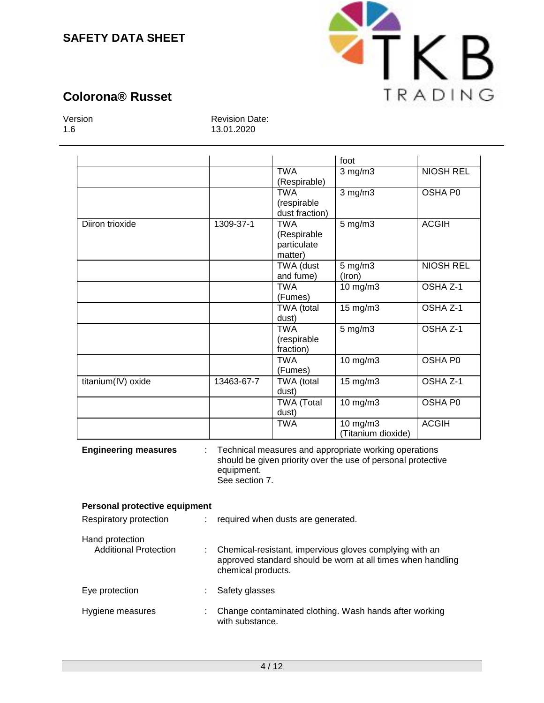

# **Colorona® Russet**

Version 1.6

Revision Date: 13.01.2020

|                                                 |                              |                                                     | foot                                                                                                                  |                     |
|-------------------------------------------------|------------------------------|-----------------------------------------------------|-----------------------------------------------------------------------------------------------------------------------|---------------------|
|                                                 |                              | <b>TWA</b><br>(Respirable)                          | $3$ mg/m $3$                                                                                                          | <b>NIOSH REL</b>    |
|                                                 |                              | <b>TWA</b><br>(respirable<br>dust fraction)         | $3$ mg/m $3$                                                                                                          | OSHA P0             |
| Diiron trioxide                                 | 1309-37-1                    | <b>TWA</b><br>(Respirable<br>particulate<br>matter) | $5$ mg/m $3$                                                                                                          | <b>ACGIH</b>        |
|                                                 |                              | TWA (dust<br>and fume)                              | $5$ mg/m $3$<br>(Iron)                                                                                                | <b>NIOSH REL</b>    |
|                                                 |                              | <b>TWA</b><br>(Fumes)                               | 10 mg/m3                                                                                                              | OSHA Z-1            |
|                                                 |                              | TWA (total<br>dust)                                 | 15 mg/m3                                                                                                              | OSHA <sub>Z-1</sub> |
|                                                 |                              | <b>TWA</b><br>(respirable<br>fraction)              | $5 \,\mathrm{mg/m}$                                                                                                   | OSHA Z-1            |
|                                                 |                              | <b>TWA</b><br>(Fumes)                               | $10$ mg/m $3$                                                                                                         | <b>OSHA P0</b>      |
| titanium(IV) oxide                              | 13463-67-7                   | TWA (total<br>dust)                                 | 15 mg/m3                                                                                                              | OSHA <sub>Z-1</sub> |
|                                                 |                              | <b>TWA</b> (Total<br>dust)                          | 10 mg/m3                                                                                                              | OSHA P0             |
|                                                 |                              | <b>TWA</b>                                          | $10$ mg/m $3$<br>(Titanium dioxide)                                                                                   | <b>ACGIH</b>        |
| <b>Engineering measures</b>                     | equipment.<br>See section 7. |                                                     | Technical measures and appropriate working operations<br>should be given priority over the use of personal protective |                     |
| Personal protective equipment                   |                              |                                                     |                                                                                                                       |                     |
| Respiratory protection                          | ÷.                           | required when dusts are generated.                  |                                                                                                                       |                     |
| Hand protection<br><b>Additional Protection</b> |                              |                                                     | Chemical-resistant, impervious gloves complying with an                                                               |                     |

| חכ | : Chemical-resistant, impervious gloves complying with an   |
|----|-------------------------------------------------------------|
|    | approved standard should be worn at all times when handling |
|    | chemical products.                                          |
|    |                                                             |

Eye protection : Safety glasses Hygiene measures : Change contaminated clothing. Wash hands after working with substance.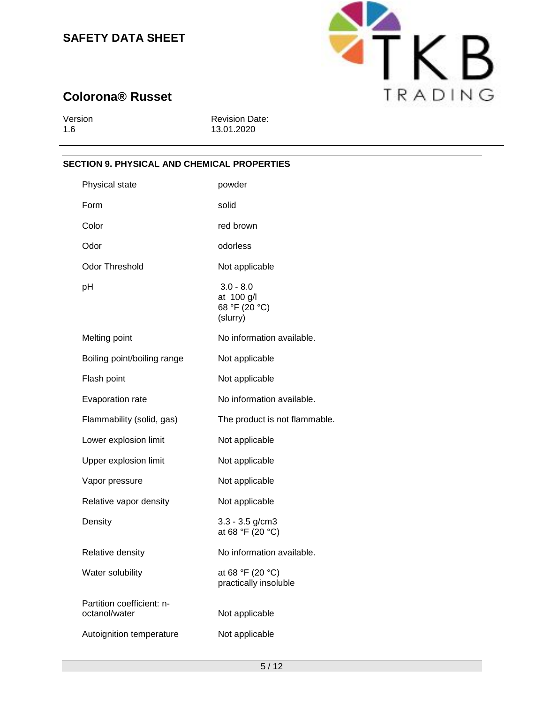

# **Colorona® Russet**

| Version |  |
|---------|--|
| 1.6     |  |

Revision Date: 13.01.2020

## **SECTION 9. PHYSICAL AND CHEMICAL PROPERTIES**

| Physical state                             | powder                                                 |
|--------------------------------------------|--------------------------------------------------------|
| Form                                       | solid                                                  |
| Color                                      | red brown                                              |
| Odor                                       | odorless                                               |
| Odor Threshold                             | Not applicable                                         |
| рH                                         | $3.0 - 8.0$<br>at 100 g/l<br>68 °F (20 °C)<br>(slurry) |
| Melting point                              | No information available.                              |
| Boiling point/boiling range                | Not applicable                                         |
| Flash point                                | Not applicable                                         |
| Evaporation rate                           | No information available.                              |
| Flammability (solid, gas)                  | The product is not flammable.                          |
| Lower explosion limit                      | Not applicable                                         |
| Upper explosion limit                      | Not applicable                                         |
| Vapor pressure                             | Not applicable                                         |
| Relative vapor density                     | Not applicable                                         |
| Density                                    | $3.3 - 3.5$ g/cm $3$<br>at 68 °F (20 °C)               |
| Relative density                           | No information available.                              |
| Water solubility                           | at 68 °F (20 °C)<br>practically insoluble              |
| Partition coefficient: n-<br>octanol/water | Not applicable                                         |
| Autoignition temperature                   | Not applicable                                         |
|                                            |                                                        |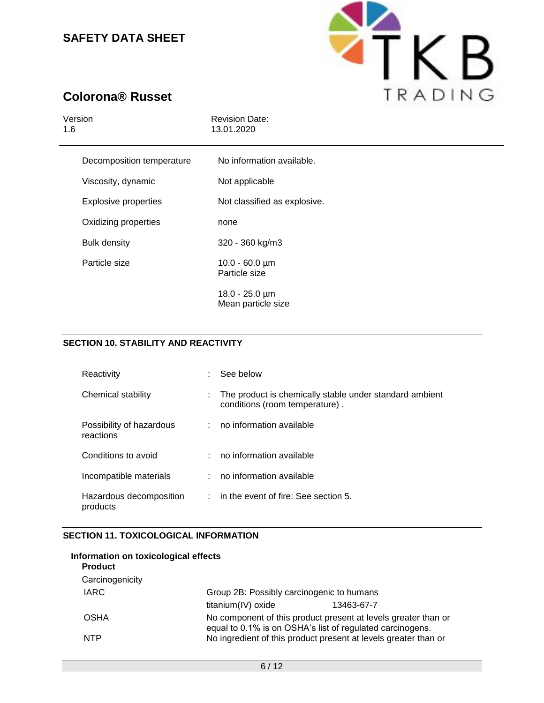

# **Colorona® Russet**

| <b>Revision Date:</b><br>13.01.2020                |
|----------------------------------------------------|
| No information available.                          |
| Not applicable                                     |
| Not classified as explosive.                       |
| none                                               |
| 320 - 360 kg/m3                                    |
| $10.0 - 60.0 \,\text{\mu m}$<br>Particle size      |
| $18.0 - 25.0 \,\text{\mu m}$<br>Mean particle size |
|                                                    |

## **SECTION 10. STABILITY AND REACTIVITY**

| Reactivity                            | See below                                                                                 |
|---------------------------------------|-------------------------------------------------------------------------------------------|
| Chemical stability                    | The product is chemically stable under standard ambient<br>conditions (room temperature). |
| Possibility of hazardous<br>reactions | : no information available                                                                |
| Conditions to avoid                   | no information available                                                                  |
| Incompatible materials                | no information available                                                                  |
| Hazardous decomposition<br>products   | $:$ in the event of fire: See section 5.                                                  |

## **SECTION 11. TOXICOLOGICAL INFORMATION**

| Information on toxicological effects<br><b>Product</b> |                    |                                                                                                                             |  |  |  |
|--------------------------------------------------------|--------------------|-----------------------------------------------------------------------------------------------------------------------------|--|--|--|
| Carcinogenicity                                        |                    |                                                                                                                             |  |  |  |
| <b>IARC</b>                                            |                    | Group 2B: Possibly carcinogenic to humans                                                                                   |  |  |  |
|                                                        | titanium(IV) oxide | 13463-67-7                                                                                                                  |  |  |  |
| <b>OSHA</b>                                            |                    | No component of this product present at levels greater than or<br>equal to 0.1% is on OSHA's list of regulated carcinogens. |  |  |  |
| <b>NTP</b>                                             |                    | No ingredient of this product present at levels greater than or                                                             |  |  |  |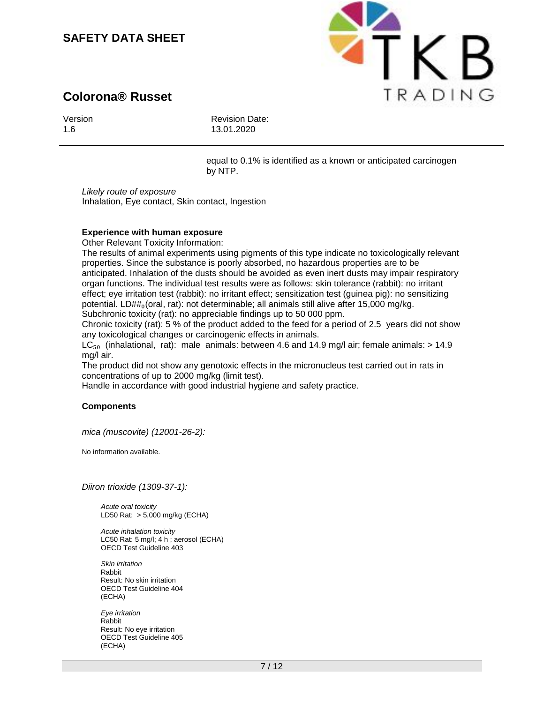# **Colorona® Russet**



1.6

Revision Date: 13.01.2020

equal to 0.1% is identified as a known or anticipated carcinogen by NTP.

**ETKB** 

TRADING

*Likely route of exposure*  Inhalation, Eye contact, Skin contact, Ingestion

## **Experience with human exposure**

Other Relevant Toxicity Information:

The results of animal experiments using pigments of this type indicate no toxicologically relevant properties. Since the substance is poorly absorbed, no hazardous properties are to be anticipated. Inhalation of the dusts should be avoided as even inert dusts may impair respiratory organ functions. The individual test results were as follows: skin tolerance (rabbit): no irritant effect; eye irritation test (rabbit): no irritant effect; sensitization test (guinea pig): no sensitizing potential. LD##<sub>0</sub>(oral, rat): not determinable; all animals still alive after 15,000 mg/kg. Subchronic toxicity (rat): no appreciable findings up to 50 000 ppm.

Chronic toxicity (rat): 5 % of the product added to the feed for a period of 2.5 years did not show any toxicological changes or carcinogenic effects in animals.

 $LC_{50}$  (inhalational, rat): male animals: between 4.6 and 14.9 mg/l air; female animals: > 14.9 mg/l air.

The product did not show any genotoxic effects in the micronucleus test carried out in rats in concentrations of up to 2000 mg/kg (limit test).

Handle in accordance with good industrial hygiene and safety practice.

#### **Components**

*mica (muscovite) (12001-26-2):*

No information available.

*Diiron trioxide (1309-37-1):*

*Acute oral toxicity* LD50 Rat: > 5,000 mg/kg (ECHA)

*Acute inhalation toxicity* LC50 Rat: 5 mg/l; 4 h ; aerosol (ECHA) OECD Test Guideline 403

*Skin irritation* Rabbit Result: No skin irritation OECD Test Guideline 404 (ECHA)

*Eye irritation* Rabbit Result: No eye irritation OECD Test Guideline 405 (ECHA)



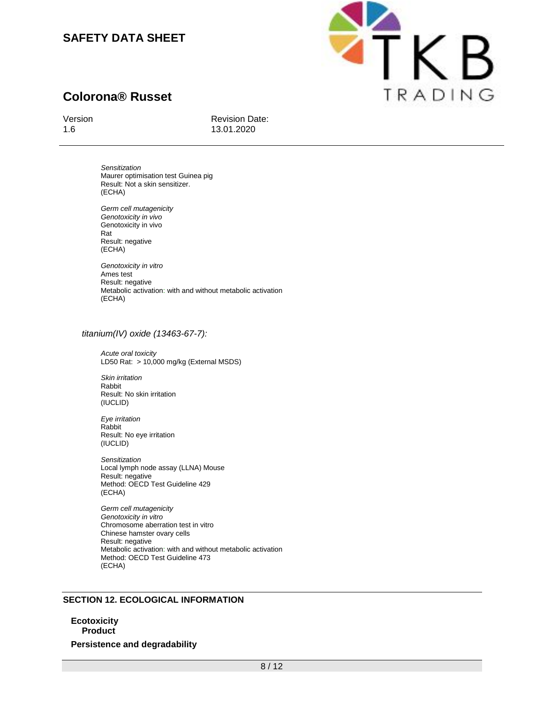



## Version

1.6

Revision Date: 13.01.2020

*Sensitization* Maurer optimisation test Guinea pig Result: Not a skin sensitizer. (ECHA)

*Germ cell mutagenicity Genotoxicity in vivo* Genotoxicity in vivo Rat Result: negative (ECHA)

*Genotoxicity in vitro* Ames test Result: negative Metabolic activation: with and without metabolic activation (ECHA)

#### *titanium(IV) oxide (13463-67-7):*

*Acute oral toxicity* LD50 Rat: > 10,000 mg/kg (External MSDS)

*Skin irritation* Rabbit Result: No skin irritation (IUCLID)

*Eye irritation* Rabbit Result: No eye irritation (IUCLID)

*Sensitization* Local lymph node assay (LLNA) Mouse Result: negative Method: OECD Test Guideline 429 (ECHA)

*Germ cell mutagenicity Genotoxicity in vitro* Chromosome aberration test in vitro Chinese hamster ovary cells Result: negative Metabolic activation: with and without metabolic activation Method: OECD Test Guideline 473 (ECHA)

#### **SECTION 12. ECOLOGICAL INFORMATION**

**Ecotoxicity Product Persistence and degradability**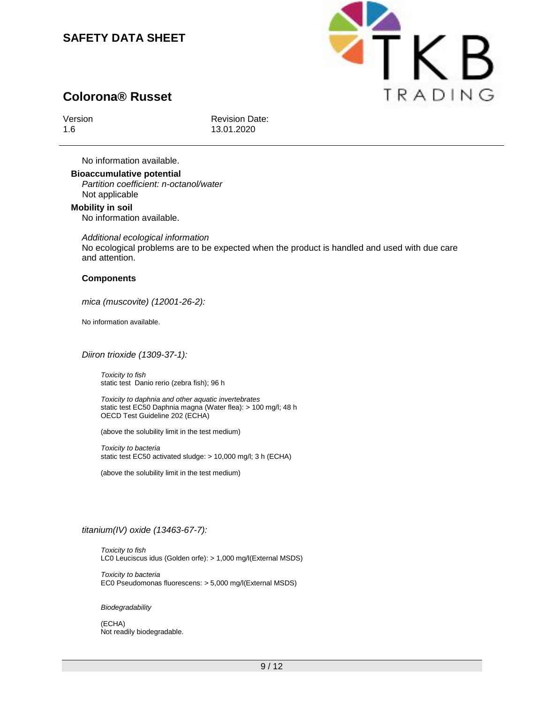

# **Colorona® Russet**

Version 1.6

Revision Date: 13.01.2020

No information available.

**Bioaccumulative potential** *Partition coefficient: n-octanol/water* Not applicable

**Mobility in soil** No information available.

*Additional ecological information* No ecological problems are to be expected when the product is handled and used with due care and attention.

#### **Components**

*mica (muscovite) (12001-26-2):*

No information available.

*Diiron trioxide (1309-37-1):*

*Toxicity to fish* static test Danio rerio (zebra fish); 96 h

*Toxicity to daphnia and other aquatic invertebrates* static test EC50 Daphnia magna (Water flea): > 100 mg/l; 48 h OECD Test Guideline 202 (ECHA)

(above the solubility limit in the test medium)

*Toxicity to bacteria* static test EC50 activated sludge: > 10,000 mg/l; 3 h (ECHA)

(above the solubility limit in the test medium)

## *titanium(IV) oxide (13463-67-7):*

*Toxicity to fish* LC0 Leuciscus idus (Golden orfe): > 1,000 mg/l(External MSDS)

*Toxicity to bacteria* EC0 Pseudomonas fluorescens: > 5,000 mg/l(External MSDS)

#### *Biodegradability*

(ECHA) Not readily biodegradable.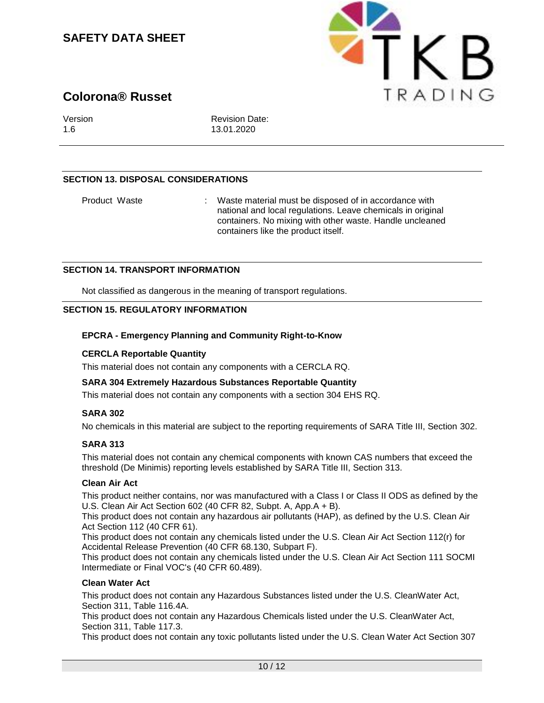

# **Colorona® Russet**

Version 1.6

Revision Date: 13.01.2020

## **SECTION 13. DISPOSAL CONSIDERATIONS**

Product Waste : Waste material must be disposed of in accordance with national and local regulations. Leave chemicals in original containers. No mixing with other waste. Handle uncleaned containers like the product itself.

#### **SECTION 14. TRANSPORT INFORMATION**

Not classified as dangerous in the meaning of transport regulations.

#### **SECTION 15. REGULATORY INFORMATION**

#### **EPCRA - Emergency Planning and Community Right-to-Know**

### **CERCLA Reportable Quantity**

This material does not contain any components with a CERCLA RQ.

## **SARA 304 Extremely Hazardous Substances Reportable Quantity**

This material does not contain any components with a section 304 EHS RQ.

#### **SARA 302**

No chemicals in this material are subject to the reporting requirements of SARA Title III, Section 302.

## **SARA 313**

This material does not contain any chemical components with known CAS numbers that exceed the threshold (De Minimis) reporting levels established by SARA Title III, Section 313.

#### **Clean Air Act**

This product neither contains, nor was manufactured with a Class I or Class II ODS as defined by the U.S. Clean Air Act Section 602 (40 CFR 82, Subpt. A, App.A + B).

This product does not contain any hazardous air pollutants (HAP), as defined by the U.S. Clean Air Act Section 112 (40 CFR 61).

This product does not contain any chemicals listed under the U.S. Clean Air Act Section 112(r) for Accidental Release Prevention (40 CFR 68.130, Subpart F).

This product does not contain any chemicals listed under the U.S. Clean Air Act Section 111 SOCMI Intermediate or Final VOC's (40 CFR 60.489).

## **Clean Water Act**

This product does not contain any Hazardous Substances listed under the U.S. CleanWater Act, Section 311, Table 116.4A.

This product does not contain any Hazardous Chemicals listed under the U.S. CleanWater Act, Section 311, Table 117.3.

This product does not contain any toxic pollutants listed under the U.S. Clean Water Act Section 307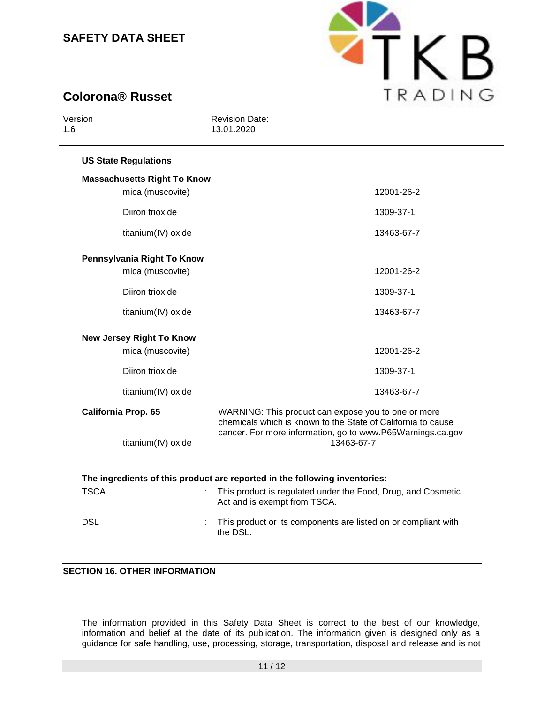

# **Colorona® Russet**

| Version<br>1.6 |                                    | <b>Revision Date:</b><br>13.01.2020                                                                                                                                                             |  |
|----------------|------------------------------------|-------------------------------------------------------------------------------------------------------------------------------------------------------------------------------------------------|--|
|                | <b>US State Regulations</b>        |                                                                                                                                                                                                 |  |
|                | <b>Massachusetts Right To Know</b> |                                                                                                                                                                                                 |  |
|                | mica (muscovite)                   | 12001-26-2                                                                                                                                                                                      |  |
|                | Diiron trioxide                    | 1309-37-1                                                                                                                                                                                       |  |
|                | titanium(IV) oxide                 | 13463-67-7                                                                                                                                                                                      |  |
|                | Pennsylvania Right To Know         |                                                                                                                                                                                                 |  |
|                | mica (muscovite)                   | 12001-26-2                                                                                                                                                                                      |  |
|                | Diiron trioxide                    | 1309-37-1                                                                                                                                                                                       |  |
|                | titanium(IV) oxide                 | 13463-67-7                                                                                                                                                                                      |  |
|                | <b>New Jersey Right To Know</b>    |                                                                                                                                                                                                 |  |
|                | mica (muscovite)                   | 12001-26-2                                                                                                                                                                                      |  |
|                | Diiron trioxide                    | 1309-37-1                                                                                                                                                                                       |  |
|                | titanium(IV) oxide                 | 13463-67-7                                                                                                                                                                                      |  |
|                | California Prop. 65                | WARNING: This product can expose you to one or more<br>chemicals which is known to the State of California to cause<br>cancer. For more information, go to www.P65Warnings.ca.gov<br>13463-67-7 |  |
|                | titanium(IV) oxide                 |                                                                                                                                                                                                 |  |
|                |                                    |                                                                                                                                                                                                 |  |
| <b>TSCA</b>    |                                    | The ingredients of this product are reported in the following inventories:<br>This product is regulated under the Food, Drug, and Cosmetic                                                      |  |
|                |                                    | Act and is exempt from TSCA.                                                                                                                                                                    |  |
| <b>DSL</b>     |                                    | This product or its components are listed on or compliant with<br>the DSL.                                                                                                                      |  |

## **SECTION 16. OTHER INFORMATION**

The information provided in this Safety Data Sheet is correct to the best of our knowledge, information and belief at the date of its publication. The information given is designed only as a guidance for safe handling, use, processing, storage, transportation, disposal and release and is not